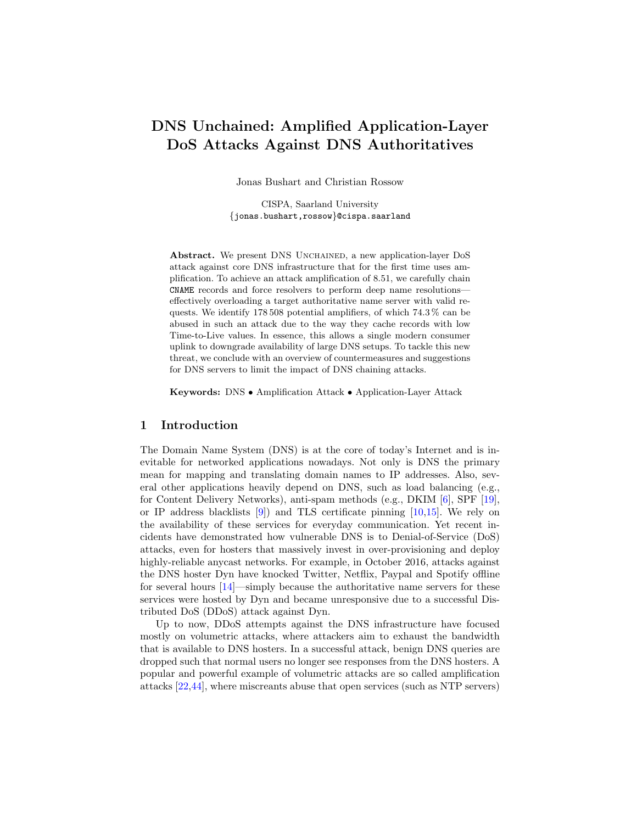# DNS Unchained: Amplified Application-Layer DoS Attacks Against DNS Authoritatives

Jonas Bushart and Christian Rossow

CISPA, Saarland University {jonas.bushart,rossow}@cispa.saarland

Abstract. We present DNS UNCHAINED, a new application-layer DoS attack against core DNS infrastructure that for the first time uses amplification. To achieve an attack amplification of 8.51, we carefully chain CNAME records and force resolvers to perform deep name resolutions effectively overloading a target authoritative name server with valid requests. We identify 178 508 potential amplifiers, of which 74.3 % can be abused in such an attack due to the way they cache records with low Time-to-Live values. In essence, this allows a single modern consumer uplink to downgrade availability of large DNS setups. To tackle this new threat, we conclude with an overview of countermeasures and suggestions for DNS servers to limit the impact of DNS chaining attacks.

Keywords: DNS • Amplification Attack • Application-Layer Attack

## 1 Introduction

The Domain Name System (DNS) is at the core of today's Internet and is inevitable for networked applications nowadays. Not only is DNS the primary mean for mapping and translating domain names to IP addresses. Also, several other applications heavily depend on DNS, such as load balancing (e.g., for Content Delivery Networks), anti-spam methods (e.g., DKIM [\[6\]](#page-18-0), SPF [\[19\]](#page-19-0), or IP address blacklists  $|9\rangle$  and TLS certificate pinning  $|10,15|$ . We rely on the availability of these services for everyday communication. Yet recent incidents have demonstrated how vulnerable DNS is to Denial-of-Service (DoS) attacks, even for hosters that massively invest in over-provisioning and deploy highly-reliable anycast networks. For example, in October 2016, attacks against the DNS hoster Dyn have knocked Twitter, Netflix, Paypal and Spotify offline for several hours [\[14\]](#page-19-2)—simply because the authoritative name servers for these services were hosted by Dyn and became unresponsive due to a successful Distributed DoS (DDoS) attack against Dyn.

Up to now, DDoS attempts against the DNS infrastructure have focused mostly on volumetric attacks, where attackers aim to exhaust the bandwidth that is available to DNS hosters. In a successful attack, benign DNS queries are dropped such that normal users no longer see responses from the DNS hosters. A popular and powerful example of volumetric attacks are so called amplification attacks [\[22](#page-19-3)[,44\]](#page-20-0), where miscreants abuse that open services (such as NTP servers)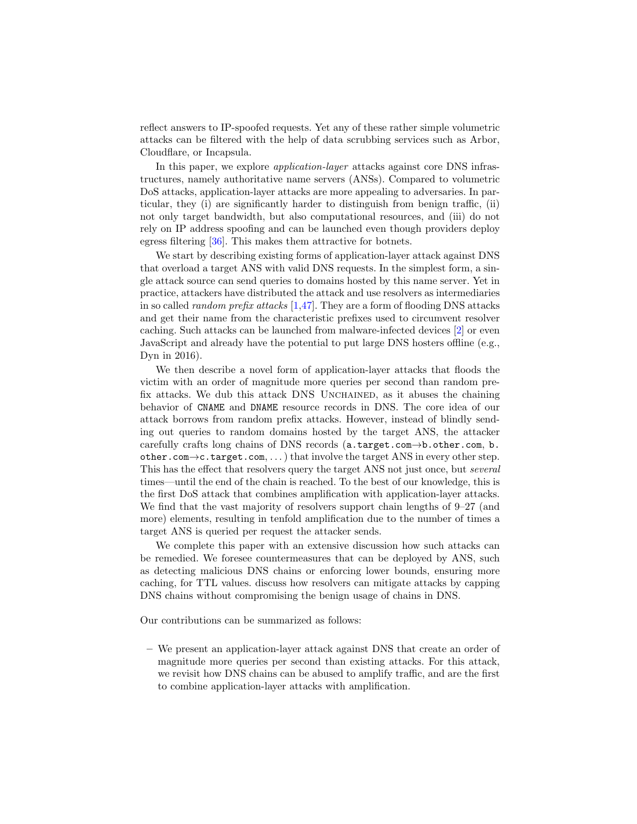reflect answers to IP-spoofed requests. Yet any of these rather simple volumetric attacks can be filtered with the help of data scrubbing services such as Arbor, Cloudflare, or Incapsula.

In this paper, we explore *application-layer* attacks against core DNS infrastructures, namely authoritative name servers (ANSs). Compared to volumetric DoS attacks, application-layer attacks are more appealing to adversaries. In particular, they (i) are significantly harder to distinguish from benign traffic, (ii) not only target bandwidth, but also computational resources, and (iii) do not rely on IP address spoofing and can be launched even though providers deploy egress filtering [\[36\]](#page-20-1). This makes them attractive for botnets.

We start by describing existing forms of application-layer attack against DNS that overload a target ANS with valid DNS requests. In the simplest form, a single attack source can send queries to domains hosted by this name server. Yet in practice, attackers have distributed the attack and use resolvers as intermediaries in so called *random prefix attacks* [\[1](#page-18-3)[,47\]](#page-20-2). They are a form of flooding DNS attacks and get their name from the characteristic prefixes used to circumvent resolver caching. Such attacks can be launched from malware-infected devices [\[2\]](#page-18-4) or even JavaScript and already have the potential to put large DNS hosters offline (e.g., Dyn in 2016).

We then describe a novel form of application-layer attacks that floods the victim with an order of magnitude more queries per second than random prefix attacks. We dub this attack DNS UNCHAINED, as it abuses the chaining behavior of CNAME and DNAME resource records in DNS. The core idea of our attack borrows from random prefix attacks. However, instead of blindly sending out queries to random domains hosted by the target ANS, the attacker carefully crafts long chains of DNS records (a.target.com→b.other.com, b. other.com→c.target.com, . . . ) that involve the target ANS in every other step. This has the effect that resolvers query the target ANS not just once, but several times—until the end of the chain is reached. To the best of our knowledge, this is the first DoS attack that combines amplification with application-layer attacks. We find that the vast majority of resolvers support chain lengths of 9–27 (and more) elements, resulting in tenfold amplification due to the number of times a target ANS is queried per request the attacker sends.

We complete this paper with an extensive discussion how such attacks can be remedied. We foresee countermeasures that can be deployed by ANS, such as detecting malicious DNS chains or enforcing lower bounds, ensuring more caching, for TTL values. discuss how resolvers can mitigate attacks by capping DNS chains without compromising the benign usage of chains in DNS.

Our contributions can be summarized as follows:

– We present an application-layer attack against DNS that create an order of magnitude more queries per second than existing attacks. For this attack, we revisit how DNS chains can be abused to amplify traffic, and are the first to combine application-layer attacks with amplification.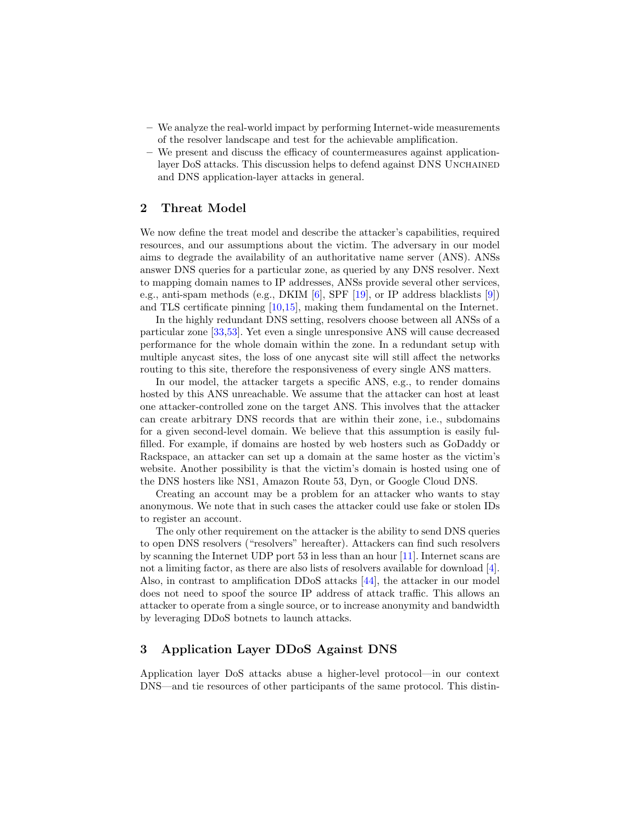- We analyze the real-world impact by performing Internet-wide measurements of the resolver landscape and test for the achievable amplification.
- We present and discuss the efficacy of countermeasures against applicationlayer DoS attacks. This discussion helps to defend against DNS UNCHAINED and DNS application-layer attacks in general.

# <span id="page-2-0"></span>2 Threat Model

We now define the treat model and describe the attacker's capabilities, required resources, and our assumptions about the victim. The adversary in our model aims to degrade the availability of an authoritative name server (ANS). ANSs answer DNS queries for a particular zone, as queried by any DNS resolver. Next to mapping domain names to IP addresses, ANSs provide several other services, e.g., anti-spam methods (e.g., DKIM [\[6\]](#page-18-0), SPF [\[19\]](#page-19-0), or IP address blacklists [\[9\]](#page-18-1)) and TLS certificate pinning [\[10,](#page-18-2)[15\]](#page-19-1), making them fundamental on the Internet.

In the highly redundant DNS setting, resolvers choose between all ANSs of a particular zone [\[33](#page-20-3)[,53\]](#page-20-4). Yet even a single unresponsive ANS will cause decreased performance for the whole domain within the zone. In a redundant setup with multiple anycast sites, the loss of one anycast site will still affect the networks routing to this site, therefore the responsiveness of every single ANS matters.

In our model, the attacker targets a specific ANS, e.g., to render domains hosted by this ANS unreachable. We assume that the attacker can host at least one attacker-controlled zone on the target ANS. This involves that the attacker can create arbitrary DNS records that are within their zone, i.e., subdomains for a given second-level domain. We believe that this assumption is easily fulfilled. For example, if domains are hosted by web hosters such as GoDaddy or Rackspace, an attacker can set up a domain at the same hoster as the victim's website. Another possibility is that the victim's domain is hosted using one of the DNS hosters like NS1, Amazon Route 53, Dyn, or Google Cloud DNS.

Creating an account may be a problem for an attacker who wants to stay anonymous. We note that in such cases the attacker could use fake or stolen IDs to register an account.

The only other requirement on the attacker is the ability to send DNS queries to open DNS resolvers ("resolvers" hereafter). Attackers can find such resolvers by scanning the Internet UDP port 53 in less than an hour [\[11\]](#page-18-5). Internet scans are not a limiting factor, as there are also lists of resolvers available for download [\[4\]](#page-18-6). Also, in contrast to amplification DDoS attacks [\[44\]](#page-20-0), the attacker in our model does not need to spoof the source IP address of attack traffic. This allows an attacker to operate from a single source, or to increase anonymity and bandwidth by leveraging DDoS botnets to launch attacks.

# 3 Application Layer DDoS Against DNS

Application layer DoS attacks abuse a higher-level protocol—in our context DNS—and tie resources of other participants of the same protocol. This distin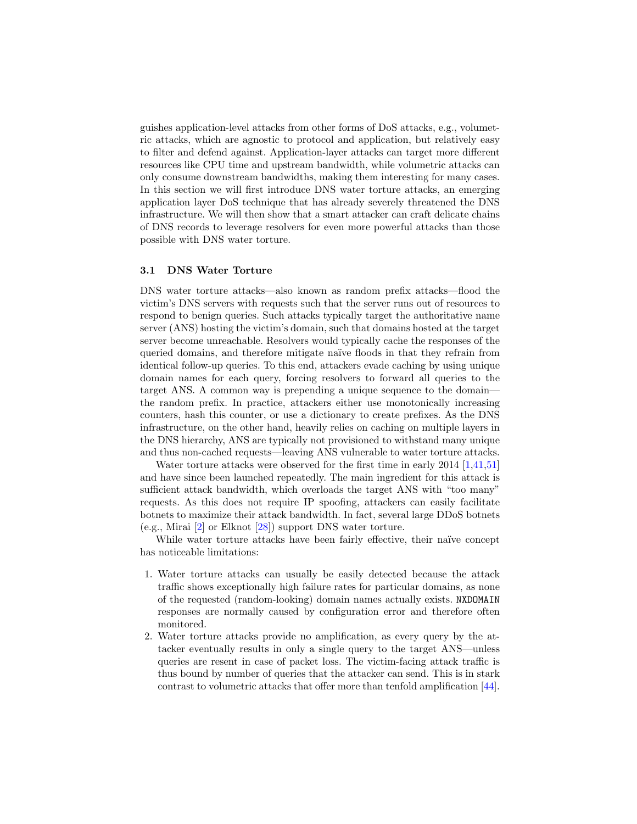guishes application-level attacks from other forms of DoS attacks, e.g., volumetric attacks, which are agnostic to protocol and application, but relatively easy to filter and defend against. Application-layer attacks can target more different resources like CPU time and upstream bandwidth, while volumetric attacks can only consume downstream bandwidths, making them interesting for many cases. In this section we will first introduce DNS water torture attacks, an emerging application layer DoS technique that has already severely threatened the DNS infrastructure. We will then show that a smart attacker can craft delicate chains of DNS records to leverage resolvers for even more powerful attacks than those possible with DNS water torture.

#### 3.1 DNS Water Torture

DNS water torture attacks—also known as random prefix attacks—flood the victim's DNS servers with requests such that the server runs out of resources to respond to benign queries. Such attacks typically target the authoritative name server (ANS) hosting the victim's domain, such that domains hosted at the target server become unreachable. Resolvers would typically cache the responses of the queried domains, and therefore mitigate naïve floods in that they refrain from identical follow-up queries. To this end, attackers evade caching by using unique domain names for each query, forcing resolvers to forward all queries to the target ANS. A common way is prepending a unique sequence to the domain the random prefix. In practice, attackers either use monotonically increasing counters, hash this counter, or use a dictionary to create prefixes. As the DNS infrastructure, on the other hand, heavily relies on caching on multiple layers in the DNS hierarchy, ANS are typically not provisioned to withstand many unique and thus non-cached requests—leaving ANS vulnerable to water torture attacks.

Water torture attacks were observed for the first time in early 2014 [\[1,](#page-18-3)[41,](#page-20-5)[51\]](#page-20-6) and have since been launched repeatedly. The main ingredient for this attack is sufficient attack bandwidth, which overloads the target ANS with "too many" requests. As this does not require IP spoofing, attackers can easily facilitate botnets to maximize their attack bandwidth. In fact, several large DDoS botnets (e.g., Mirai [\[2\]](#page-18-4) or Elknot [\[28\]](#page-19-4)) support DNS water torture.

While water torture attacks have been fairly effective, their naïve concept has noticeable limitations:

- 1. Water torture attacks can usually be easily detected because the attack traffic shows exceptionally high failure rates for particular domains, as none of the requested (random-looking) domain names actually exists. NXDOMAIN responses are normally caused by configuration error and therefore often monitored.
- 2. Water torture attacks provide no amplification, as every query by the attacker eventually results in only a single query to the target ANS—unless queries are resent in case of packet loss. The victim-facing attack traffic is thus bound by number of queries that the attacker can send. This is in stark contrast to volumetric attacks that offer more than tenfold amplification [\[44\]](#page-20-0).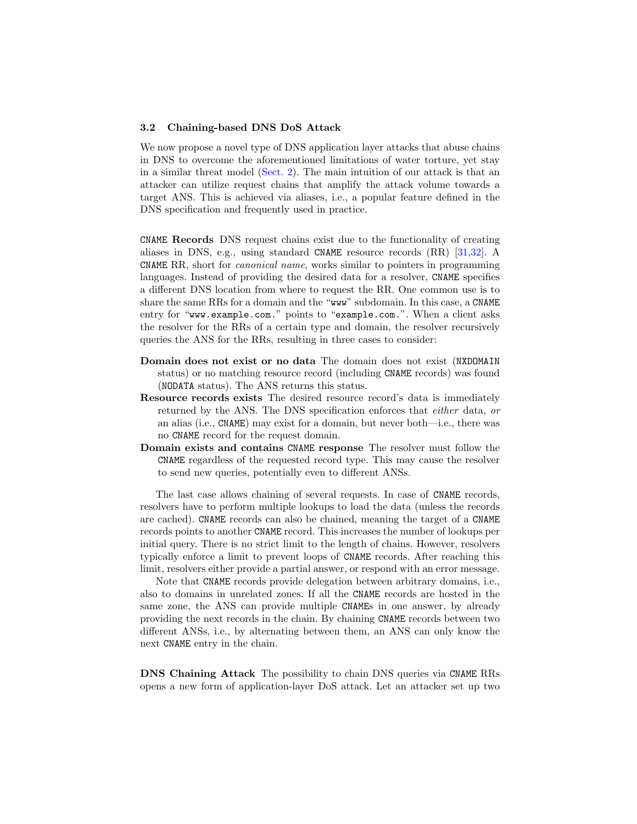#### 3.2 Chaining-based DNS DoS Attack

We now propose a novel type of DNS application layer attacks that abuse chains in DNS to overcome the aforementioned limitations of water torture, yet stay in a similar threat model [\(Sect. 2\)](#page-2-0). The main intuition of our attack is that an attacker can utilize request chains that amplify the attack volume towards a target ANS. This is achieved via aliases, i.e., a popular feature defined in the DNS specification and frequently used in practice.

CNAME Records DNS request chains exist due to the functionality of creating aliases in DNS, e.g., using standard CNAME resource records (RR) [\[31,](#page-19-5)[32\]](#page-20-7). A CNAME RR, short for canonical name, works similar to pointers in programming languages. Instead of providing the desired data for a resolver, CNAME specifies a different DNS location from where to request the RR. One common use is to share the same RRs for a domain and the "www" subdomain. In this case, a CNAME entry for "www.example.com." points to "example.com.". When a client asks the resolver for the RRs of a certain type and domain, the resolver recursively queries the ANS for the RRs, resulting in three cases to consider:

- Domain does not exist or no data The domain does not exist (NXDOMAIN status) or no matching resource record (including CNAME records) was found (NODATA status). The ANS returns this status.
- Resource records exists The desired resource record's data is immediately returned by the ANS. The DNS specification enforces that either data, or an alias (i.e., CNAME) may exist for a domain, but never both—i.e., there was no CNAME record for the request domain.
- Domain exists and contains CNAME response The resolver must follow the CNAME regardless of the requested record type. This may cause the resolver to send new queries, potentially even to different ANSs.

The last case allows chaining of several requests. In case of CNAME records, resolvers have to perform multiple lookups to load the data (unless the records are cached). CNAME records can also be chained, meaning the target of a CNAME records points to another CNAME record. This increases the number of lookups per initial query. There is no strict limit to the length of chains. However, resolvers typically enforce a limit to prevent loops of CNAME records. After reaching this limit, resolvers either provide a partial answer, or respond with an error message.

Note that CNAME records provide delegation between arbitrary domains, i.e., also to domains in unrelated zones. If all the CNAME records are hosted in the same zone, the ANS can provide multiple CNAMEs in one answer, by already providing the next records in the chain. By chaining CNAME records between two different ANSs, i.e., by alternating between them, an ANS can only know the next CNAME entry in the chain.

<span id="page-4-0"></span>DNS Chaining Attack The possibility to chain DNS queries via CNAME RRs opens a new form of application-layer DoS attack. Let an attacker set up two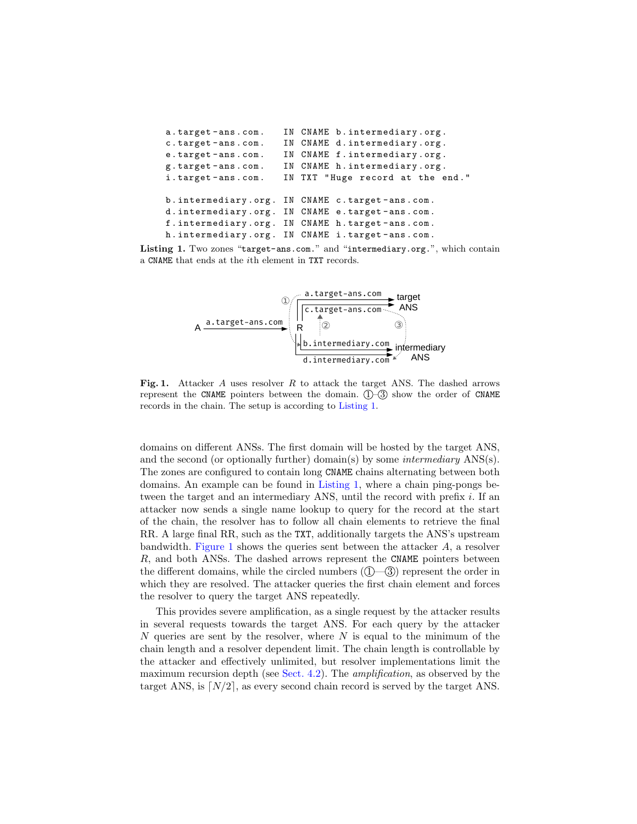```
a . target - ans . com . IN CNAME b . intermediary . org .
c . target - ans . com . IN CNAME d . intermediary . org .
e.target-ans.com. IN CNAME f.intermediary.org.<br>g.target-ans.com. IN CNAME h.intermediary.org.
                          IN CNAME h. intermediary. org.
i . target - ans . com . IN TXT " Huge record at the end ."
b . intermediary . org . IN CNAME c . target - ans . com .
d . intermediary . org . IN CNAME e . target - ans . com .
f . intermediary . org . IN CNAME h . target - ans . com .
h . intermediary . org . IN CNAME i . target - ans . com .
```
Listing 1. Two zones "target-ans.com." and "intermediary.org.", which contain a CNAME that ends at the ith element in TXT records.



<span id="page-5-1"></span>Fig. 1. Attacker  $A$  uses resolver  $R$  to attack the target ANS. The dashed arrows represent the CNAME pointers between the domain.  $(1)$ – $(3)$  show the order of CNAME records in the chain. The setup is according to [Listing 1.](#page-5-0)

domains on different ANSs. The first domain will be hosted by the target ANS, and the second (or optionally further) domain(s) by some *intermediary*  $ANS(s)$ . The zones are configured to contain long CNAME chains alternating between both domains. An example can be found in [Listing 1,](#page-5-0) where a chain ping-pongs between the target and an intermediary ANS, until the record with prefix i. If an attacker now sends a single name lookup to query for the record at the start of the chain, the resolver has to follow all chain elements to retrieve the final RR. A large final RR, such as the TXT, additionally targets the ANS's upstream bandwidth. [Figure 1](#page-5-1) shows the queries sent between the attacker  $A$ , a resolver R, and both ANSs. The dashed arrows represent the CNAME pointers between the different domains, while the circled numbers  $(1)$ —3) represent the order in which they are resolved. The attacker queries the first chain element and forces the resolver to query the target ANS repeatedly.

This provides severe amplification, as a single request by the attacker results in several requests towards the target ANS. For each query by the attacker N queries are sent by the resolver, where  $N$  is equal to the minimum of the chain length and a resolver dependent limit. The chain length is controllable by the attacker and effectively unlimited, but resolver implementations limit the maximum recursion depth (see [Sect. 4.2\)](#page-11-0). The *amplification*, as observed by the target ANS, is  $[N/2]$ , as every second chain record is served by the target ANS.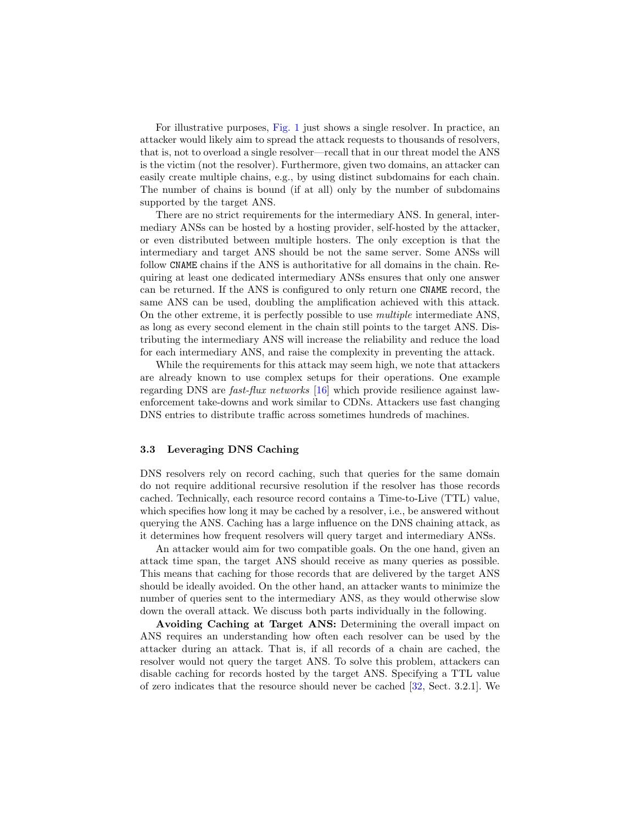For illustrative purposes, [Fig. 1](#page-5-1) just shows a single resolver. In practice, an attacker would likely aim to spread the attack requests to thousands of resolvers, that is, not to overload a single resolver—recall that in our threat model the ANS is the victim (not the resolver). Furthermore, given two domains, an attacker can easily create multiple chains, e.g., by using distinct subdomains for each chain. The number of chains is bound (if at all) only by the number of subdomains supported by the target ANS.

There are no strict requirements for the intermediary ANS. In general, intermediary ANSs can be hosted by a hosting provider, self-hosted by the attacker, or even distributed between multiple hosters. The only exception is that the intermediary and target ANS should be not the same server. Some ANSs will follow CNAME chains if the ANS is authoritative for all domains in the chain. Requiring at least one dedicated intermediary ANSs ensures that only one answer can be returned. If the ANS is configured to only return one CNAME record, the same ANS can be used, doubling the amplification achieved with this attack. On the other extreme, it is perfectly possible to use multiple intermediate ANS, as long as every second element in the chain still points to the target ANS. Distributing the intermediary ANS will increase the reliability and reduce the load for each intermediary ANS, and raise the complexity in preventing the attack.

While the requirements for this attack may seem high, we note that attackers are already known to use complex setups for their operations. One example regarding DNS are fast-flux networks [\[16\]](#page-19-6) which provide resilience against lawenforcement take-downs and work similar to CDNs. Attackers use fast changing DNS entries to distribute traffic across sometimes hundreds of machines.

#### 3.3 Leveraging DNS Caching

DNS resolvers rely on record caching, such that queries for the same domain do not require additional recursive resolution if the resolver has those records cached. Technically, each resource record contains a Time-to-Live (TTL) value, which specifies how long it may be cached by a resolver, i.e., be answered without querying the ANS. Caching has a large influence on the DNS chaining attack, as it determines how frequent resolvers will query target and intermediary ANSs.

An attacker would aim for two compatible goals. On the one hand, given an attack time span, the target ANS should receive as many queries as possible. This means that caching for those records that are delivered by the target ANS should be ideally avoided. On the other hand, an attacker wants to minimize the number of queries sent to the intermediary ANS, as they would otherwise slow down the overall attack. We discuss both parts individually in the following.

Avoiding Caching at Target ANS: Determining the overall impact on ANS requires an understanding how often each resolver can be used by the attacker during an attack. That is, if all records of a chain are cached, the resolver would not query the target ANS. To solve this problem, attackers can disable caching for records hosted by the target ANS. Specifying a TTL value of zero indicates that the resource should never be cached [\[32,](#page-20-7) Sect. 3.2.1]. We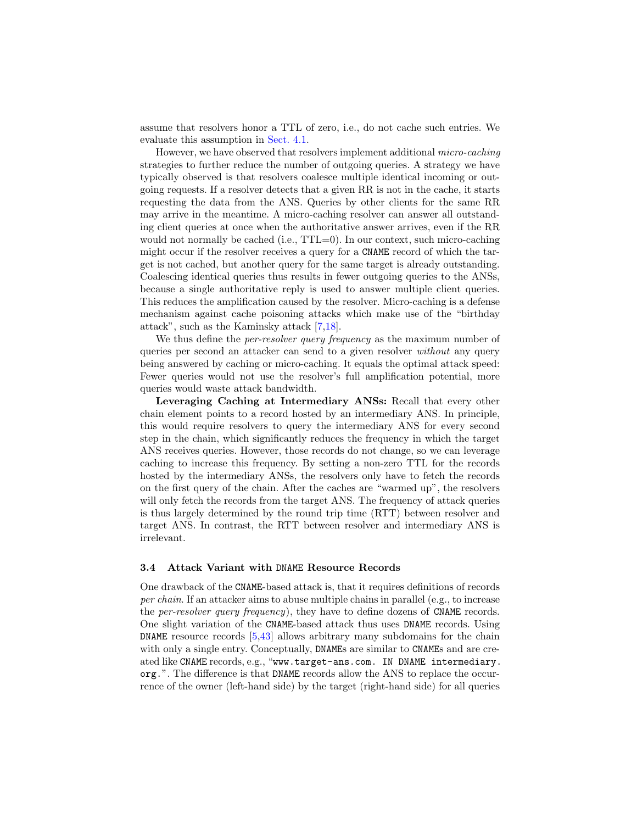assume that resolvers honor a TTL of zero, i.e., do not cache such entries. We evaluate this assumption in [Sect. 4.1.](#page-9-0)

However, we have observed that resolvers implement additional micro-caching strategies to further reduce the number of outgoing queries. A strategy we have typically observed is that resolvers coalesce multiple identical incoming or outgoing requests. If a resolver detects that a given RR is not in the cache, it starts requesting the data from the ANS. Queries by other clients for the same RR may arrive in the meantime. A micro-caching resolver can answer all outstanding client queries at once when the authoritative answer arrives, even if the RR would not normally be cached (i.e., TTL=0). In our context, such micro-caching might occur if the resolver receives a query for a CNAME record of which the target is not cached, but another query for the same target is already outstanding. Coalescing identical queries thus results in fewer outgoing queries to the ANSs, because a single authoritative reply is used to answer multiple client queries. This reduces the amplification caused by the resolver. Micro-caching is a defense mechanism against cache poisoning attacks which make use of the "birthday attack", such as the Kaminsky attack [\[7,](#page-18-7)[18\]](#page-19-7).

We thus define the *per-resolver query frequency* as the maximum number of queries per second an attacker can send to a given resolver without any query being answered by caching or micro-caching. It equals the optimal attack speed: Fewer queries would not use the resolver's full amplification potential, more queries would waste attack bandwidth.

Leveraging Caching at Intermediary ANSs: Recall that every other chain element points to a record hosted by an intermediary ANS. In principle, this would require resolvers to query the intermediary ANS for every second step in the chain, which significantly reduces the frequency in which the target ANS receives queries. However, those records do not change, so we can leverage caching to increase this frequency. By setting a non-zero TTL for the records hosted by the intermediary ANSs, the resolvers only have to fetch the records on the first query of the chain. After the caches are "warmed up", the resolvers will only fetch the records from the target ANS. The frequency of attack queries is thus largely determined by the round trip time (RTT) between resolver and target ANS. In contrast, the RTT between resolver and intermediary ANS is irrelevant.

## 3.4 Attack Variant with DNAME Resource Records

One drawback of the CNAME-based attack is, that it requires definitions of records per chain. If an attacker aims to abuse multiple chains in parallel (e.g., to increase the *per-resolver query frequency*), they have to define dozens of CNAME records. One slight variation of the CNAME-based attack thus uses DNAME records. Using DNAME resource records [\[5](#page-18-8)[,43\]](#page-20-8) allows arbitrary many subdomains for the chain with only a single entry. Conceptually, DNAMEs are similar to CNAMEs and are created like CNAME records, e.g., "www.target-ans.com. IN DNAME intermediary. org.". The difference is that DNAME records allow the ANS to replace the occurrence of the owner (left-hand side) by the target (right-hand side) for all queries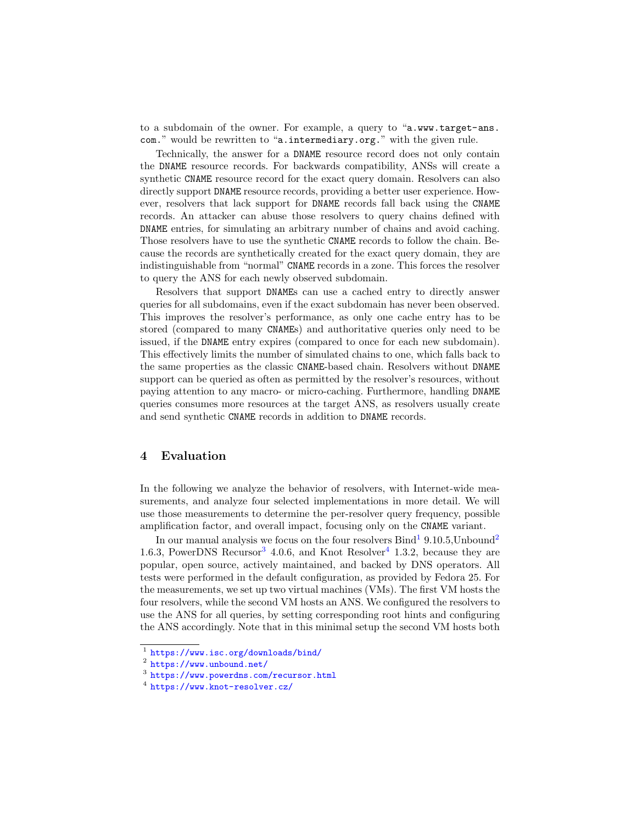to a subdomain of the owner. For example, a query to "a.www.target-ans. com." would be rewritten to "a.intermediary.org." with the given rule.

Technically, the answer for a DNAME resource record does not only contain the DNAME resource records. For backwards compatibility, ANSs will create a synthetic CNAME resource record for the exact query domain. Resolvers can also directly support DNAME resource records, providing a better user experience. However, resolvers that lack support for DNAME records fall back using the CNAME records. An attacker can abuse those resolvers to query chains defined with DNAME entries, for simulating an arbitrary number of chains and avoid caching. Those resolvers have to use the synthetic CNAME records to follow the chain. Because the records are synthetically created for the exact query domain, they are indistinguishable from "normal" CNAME records in a zone. This forces the resolver to query the ANS for each newly observed subdomain.

Resolvers that support DNAMEs can use a cached entry to directly answer queries for all subdomains, even if the exact subdomain has never been observed. This improves the resolver's performance, as only one cache entry has to be stored (compared to many CNAMEs) and authoritative queries only need to be issued, if the DNAME entry expires (compared to once for each new subdomain). This effectively limits the number of simulated chains to one, which falls back to the same properties as the classic CNAME-based chain. Resolvers without DNAME support can be queried as often as permitted by the resolver's resources, without paying attention to any macro- or micro-caching. Furthermore, handling DNAME queries consumes more resources at the target ANS, as resolvers usually create and send synthetic CNAME records in addition to DNAME records.

# 4 Evaluation

In the following we analyze the behavior of resolvers, with Internet-wide measurements, and analyze four selected implementations in more detail. We will use those measurements to determine the per-resolver query frequency, possible amplification factor, and overall impact, focusing only on the CNAME variant.

In our manual analysis we focus on the four resolvers  $\text{Bind}^1$  $\text{Bind}^1$  9.10.5, Unbound<sup>[2](#page-8-1)</sup> 1.6.[3](#page-8-2), PowerDNS Recursor<sup>3</sup> [4](#page-8-3).0.6, and Knot Resolver<sup>4</sup> 1.3.2, because they are popular, open source, actively maintained, and backed by DNS operators. All tests were performed in the default configuration, as provided by Fedora 25. For the measurements, we set up two virtual machines (VMs). The first VM hosts the four resolvers, while the second VM hosts an ANS. We configured the resolvers to use the ANS for all queries, by setting corresponding root hints and configuring the ANS accordingly. Note that in this minimal setup the second VM hosts both

<span id="page-8-0"></span><sup>1</sup> <https://www.isc.org/downloads/bind/>

<span id="page-8-1"></span><sup>2</sup> <https://www.unbound.net/>

<span id="page-8-2"></span><sup>3</sup> <https://www.powerdns.com/recursor.html>

<span id="page-8-3"></span><sup>4</sup> <https://www.knot-resolver.cz/>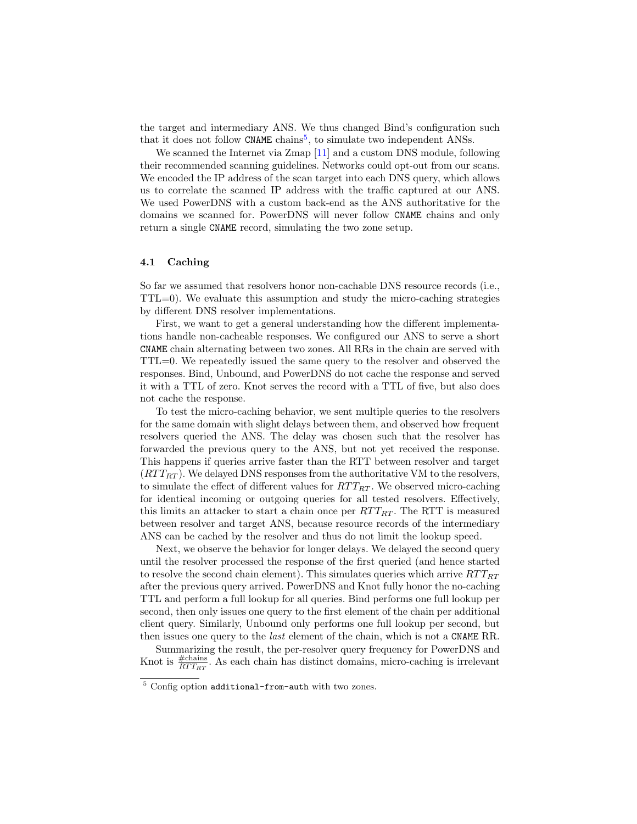the target and intermediary ANS. We thus changed Bind's configuration such that it does not follow CNAME chains<sup>[5](#page-9-1)</sup>, to simulate two independent ANSs.

We scanned the Internet via Zmap [\[11\]](#page-18-5) and a custom DNS module, following their recommended scanning guidelines. Networks could opt-out from our scans. We encoded the IP address of the scan target into each DNS query, which allows us to correlate the scanned IP address with the traffic captured at our ANS. We used PowerDNS with a custom back-end as the ANS authoritative for the domains we scanned for. PowerDNS will never follow CNAME chains and only return a single CNAME record, simulating the two zone setup.

#### <span id="page-9-0"></span>4.1 Caching

So far we assumed that resolvers honor non-cachable DNS resource records (i.e., TTL=0). We evaluate this assumption and study the micro-caching strategies by different DNS resolver implementations.

First, we want to get a general understanding how the different implementations handle non-cacheable responses. We configured our ANS to serve a short CNAME chain alternating between two zones. All RRs in the chain are served with TTL=0. We repeatedly issued the same query to the resolver and observed the responses. Bind, Unbound, and PowerDNS do not cache the response and served it with a TTL of zero. Knot serves the record with a TTL of five, but also does not cache the response.

To test the micro-caching behavior, we sent multiple queries to the resolvers for the same domain with slight delays between them, and observed how frequent resolvers queried the ANS. The delay was chosen such that the resolver has forwarded the previous query to the ANS, but not yet received the response. This happens if queries arrive faster than the RTT between resolver and target  $(RTT_{RT})$ . We delayed DNS responses from the authoritative VM to the resolvers, to simulate the effect of different values for  $RTT_{RT}$ . We observed micro-caching for identical incoming or outgoing queries for all tested resolvers. Effectively, this limits an attacker to start a chain once per  $RTT_{RT}$ . The RTT is measured between resolver and target ANS, because resource records of the intermediary ANS can be cached by the resolver and thus do not limit the lookup speed.

Next, we observe the behavior for longer delays. We delayed the second query until the resolver processed the response of the first queried (and hence started to resolve the second chain element). This simulates queries which arrive  $RTT_{RT}$ after the previous query arrived. PowerDNS and Knot fully honor the no-caching TTL and perform a full lookup for all queries. Bind performs one full lookup per second, then only issues one query to the first element of the chain per additional client query. Similarly, Unbound only performs one full lookup per second, but then issues one query to the *last* element of the chain, which is not a CNAME RR.

Summarizing the result, the per-resolver query frequency for PowerDNS and Knot is  $\frac{\text{\#chains}}{RTT_{RT}}$ . As each chain has distinct domains, micro-caching is irrelevant

<span id="page-9-1"></span><sup>5</sup> Config option additional-from-auth with two zones.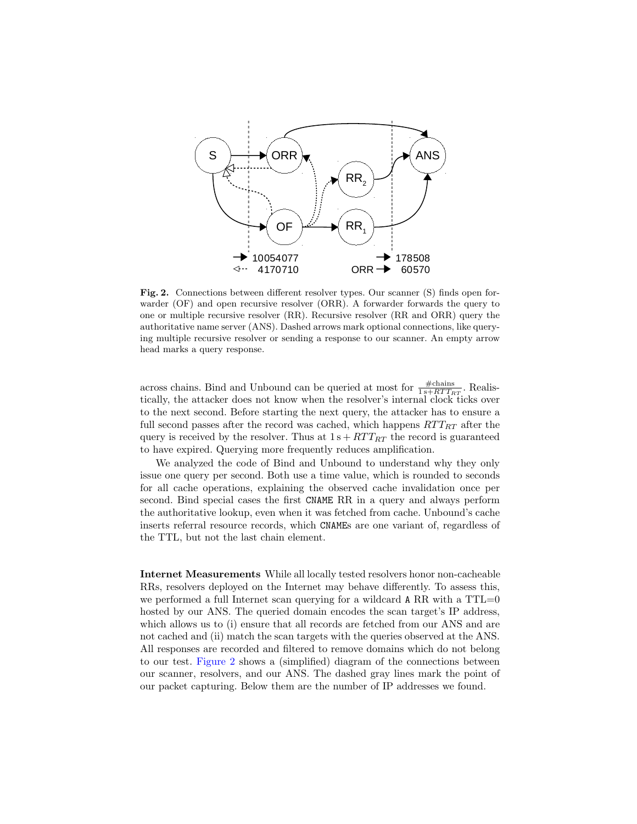

<span id="page-10-0"></span>Fig. 2. Connections between different resolver types. Our scanner (S) finds open forwarder (OF) and open recursive resolver (ORR). A forwarder forwards the query to one or multiple recursive resolver (RR). Recursive resolver (RR and ORR) query the authoritative name server (ANS). Dashed arrows mark optional connections, like querying multiple recursive resolver or sending a response to our scanner. An empty arrow head marks a query response.

across chains. Bind and Unbound can be queried at most for  $\frac{\text{\#chains}}{1 \text{s} + RTT_{RT}}$ . Realistically, the attacker does not know when the resolver's internal clock ticks over to the next second. Before starting the next query, the attacker has to ensure a full second passes after the record was cached, which happens  $RTT_{RT}$  after the query is received by the resolver. Thus at  $1 s + RTT_{RT}$  the record is guaranteed to have expired. Querying more frequently reduces amplification.

We analyzed the code of Bind and Unbound to understand why they only issue one query per second. Both use a time value, which is rounded to seconds for all cache operations, explaining the observed cache invalidation once per second. Bind special cases the first CNAME RR in a query and always perform the authoritative lookup, even when it was fetched from cache. Unbound's cache inserts referral resource records, which CNAMEs are one variant of, regardless of the TTL, but not the last chain element.

Internet Measurements While all locally tested resolvers honor non-cacheable RRs, resolvers deployed on the Internet may behave differently. To assess this, we performed a full Internet scan querying for a wildcard  $\land$  RR with a TTL=0 hosted by our ANS. The queried domain encodes the scan target's IP address, which allows us to (i) ensure that all records are fetched from our ANS and are not cached and (ii) match the scan targets with the queries observed at the ANS. All responses are recorded and filtered to remove domains which do not belong to our test. [Figure 2](#page-10-0) shows a (simplified) diagram of the connections between our scanner, resolvers, and our ANS. The dashed gray lines mark the point of our packet capturing. Below them are the number of IP addresses we found.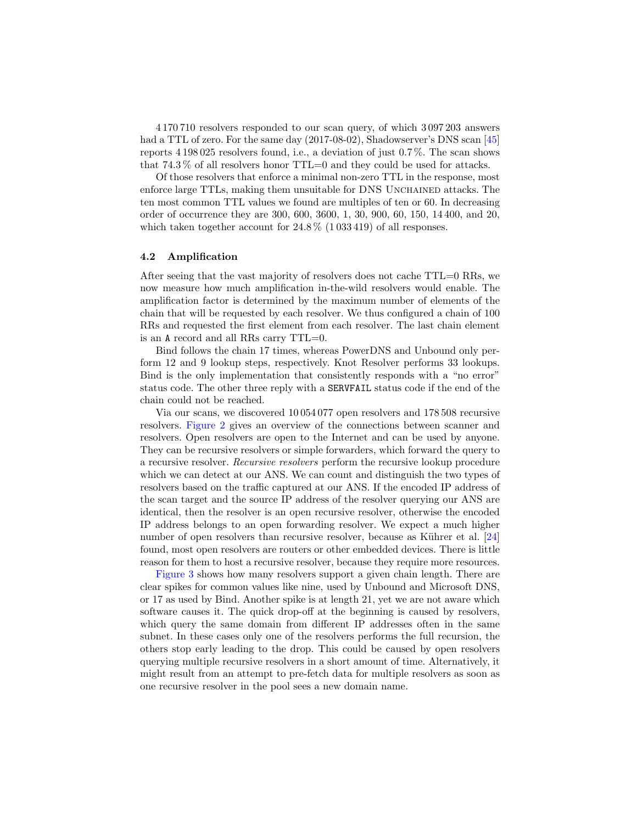4 170 710 resolvers responded to our scan query, of which 3 097 203 answers had a TTL of zero. For the same day  $(2017-08-02)$ , Shadowserver's DNS scan [\[45\]](#page-20-9) reports 4 198 025 resolvers found, i.e., a deviation of just 0.7 %. The scan shows that  $74.3\%$  of all resolvers honor  $TTL=0$  and they could be used for attacks.

Of those resolvers that enforce a minimal non-zero TTL in the response, most enforce large TTLs, making them unsuitable for DNS UNCHAINED attacks. The ten most common TTL values we found are multiples of ten or 60. In decreasing order of occurrence they are 300, 600, 3600, 1, 30, 900, 60, 150, 14 400, and 20, which taken together account for  $24.8\%$  (1033419) of all responses.

## <span id="page-11-0"></span>4.2 Amplification

After seeing that the vast majority of resolvers does not cache TTL=0 RRs, we now measure how much amplification in-the-wild resolvers would enable. The amplification factor is determined by the maximum number of elements of the chain that will be requested by each resolver. We thus configured a chain of 100 RRs and requested the first element from each resolver. The last chain element is an A record and all RRs carry TTL=0.

Bind follows the chain 17 times, whereas PowerDNS and Unbound only perform 12 and 9 lookup steps, respectively. Knot Resolver performs 33 lookups. Bind is the only implementation that consistently responds with a "no error" status code. The other three reply with a SERVFAIL status code if the end of the chain could not be reached.

Via our scans, we discovered 10 054 077 open resolvers and 178 508 recursive resolvers. [Figure 2](#page-10-0) gives an overview of the connections between scanner and resolvers. Open resolvers are open to the Internet and can be used by anyone. They can be recursive resolvers or simple forwarders, which forward the query to a recursive resolver. Recursive resolvers perform the recursive lookup procedure which we can detect at our ANS. We can count and distinguish the two types of resolvers based on the traffic captured at our ANS. If the encoded IP address of the scan target and the source IP address of the resolver querying our ANS are identical, then the resolver is an open recursive resolver, otherwise the encoded IP address belongs to an open forwarding resolver. We expect a much higher number of open resolvers than recursive resolver, because as Kührer et al.  $[24]$ found, most open resolvers are routers or other embedded devices. There is little reason for them to host a recursive resolver, because they require more resources.

[Figure 3](#page-12-0) shows how many resolvers support a given chain length. There are clear spikes for common values like nine, used by Unbound and Microsoft DNS, or 17 as used by Bind. Another spike is at length 21, yet we are not aware which software causes it. The quick drop-off at the beginning is caused by resolvers, which query the same domain from different IP addresses often in the same subnet. In these cases only one of the resolvers performs the full recursion, the others stop early leading to the drop. This could be caused by open resolvers querying multiple recursive resolvers in a short amount of time. Alternatively, it might result from an attempt to pre-fetch data for multiple resolvers as soon as one recursive resolver in the pool sees a new domain name.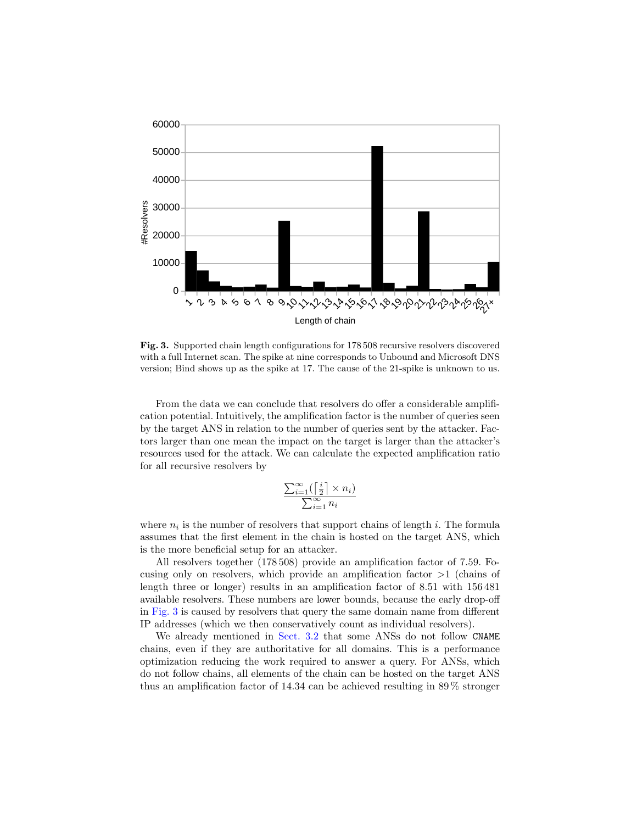

<span id="page-12-0"></span>Fig. 3. Supported chain length configurations for 178 508 recursive resolvers discovered with a full Internet scan. The spike at nine corresponds to Unbound and Microsoft DNS version; Bind shows up as the spike at 17. The cause of the 21-spike is unknown to us.

From the data we can conclude that resolvers do offer a considerable amplification potential. Intuitively, the amplification factor is the number of queries seen by the target ANS in relation to the number of queries sent by the attacker. Factors larger than one mean the impact on the target is larger than the attacker's resources used for the attack. We can calculate the expected amplification ratio for all recursive resolvers by

$$
\frac{\sum_{i=1}^{\infty} \left( \left\lceil \frac{i}{2} \right\rceil \times n_i \right)}{\sum_{i=1}^{\infty} n_i}
$$

where  $n_i$  is the number of resolvers that support chains of length i. The formula assumes that the first element in the chain is hosted on the target ANS, which is the more beneficial setup for an attacker.

All resolvers together (178 508) provide an amplification factor of 7.59. Focusing only on resolvers, which provide an amplification factor >1 (chains of length three or longer) results in an amplification factor of 8.51 with 156 481 available resolvers. These numbers are lower bounds, because the early drop-off in [Fig. 3](#page-12-0) is caused by resolvers that query the same domain name from different IP addresses (which we then conservatively count as individual resolvers).

We already mentioned in [Sect. 3.2](#page-4-0) that some ANSs do not follow CNAME chains, even if they are authoritative for all domains. This is a performance optimization reducing the work required to answer a query. For ANSs, which do not follow chains, all elements of the chain can be hosted on the target ANS thus an amplification factor of 14.34 can be achieved resulting in 89 % stronger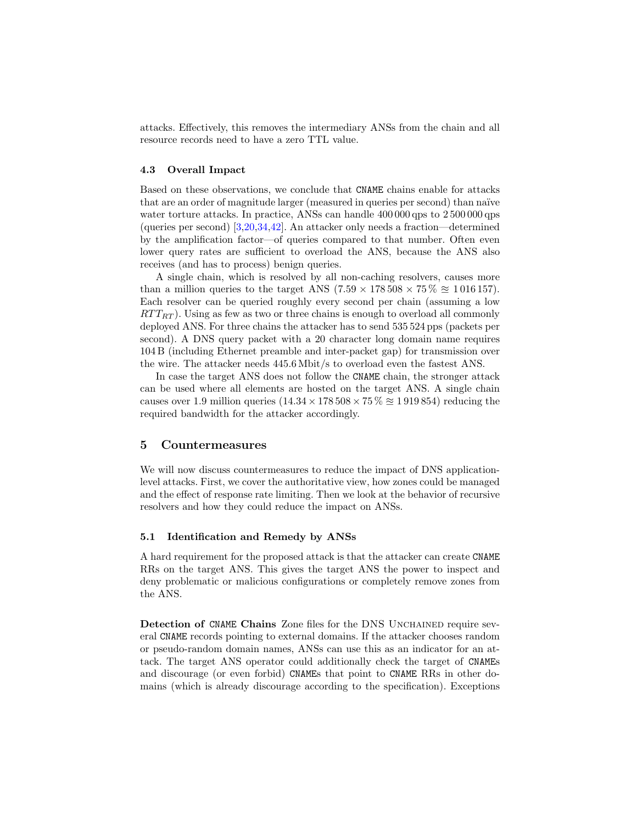attacks. Effectively, this removes the intermediary ANSs from the chain and all resource records need to have a zero TTL value.

#### 4.3 Overall Impact

Based on these observations, we conclude that CNAME chains enable for attacks that are an order of magnitude larger (measured in queries per second) than naïve water torture attacks. In practice, ANSs can handle 400 000 qps to 2500 000 qps (queries per second) [\[3,](#page-18-9)[20,](#page-19-9)[34](#page-20-10)[,42\]](#page-20-11). An attacker only needs a fraction—determined by the amplification factor—of queries compared to that number. Often even lower query rates are sufficient to overload the ANS, because the ANS also receives (and has to process) benign queries.

A single chain, which is resolved by all non-caching resolvers, causes more than a million queries to the target ANS  $(7.59 \times 178508 \times 75\% \approx 1016157)$ . Each resolver can be queried roughly every second per chain (assuming a low  $RTT_{RT}$ ). Using as few as two or three chains is enough to overload all commonly deployed ANS. For three chains the attacker has to send 535 524 pps (packets per second). A DNS query packet with a 20 character long domain name requires 104 B (including Ethernet preamble and inter-packet gap) for transmission over the wire. The attacker needs 445.6 Mbit/s to overload even the fastest ANS.

In case the target ANS does not follow the CNAME chain, the stronger attack can be used where all elements are hosted on the target ANS. A single chain causes over 1.9 million queries  $(14.34 \times 178508 \times 75\% \approx 1919854)$  reducing the required bandwidth for the attacker accordingly.

### 5 Countermeasures

We will now discuss countermeasures to reduce the impact of DNS applicationlevel attacks. First, we cover the authoritative view, how zones could be managed and the effect of response rate limiting. Then we look at the behavior of recursive resolvers and how they could reduce the impact on ANSs.

#### <span id="page-13-0"></span>5.1 Identification and Remedy by ANSs

A hard requirement for the proposed attack is that the attacker can create CNAME RRs on the target ANS. This gives the target ANS the power to inspect and deny problematic or malicious configurations or completely remove zones from the ANS.

Detection of CNAME Chains Zone files for the DNS UNCHAINED require several CNAME records pointing to external domains. If the attacker chooses random or pseudo-random domain names, ANSs can use this as an indicator for an attack. The target ANS operator could additionally check the target of CNAMEs and discourage (or even forbid) CNAMEs that point to CNAME RRs in other domains (which is already discourage according to the specification). Exceptions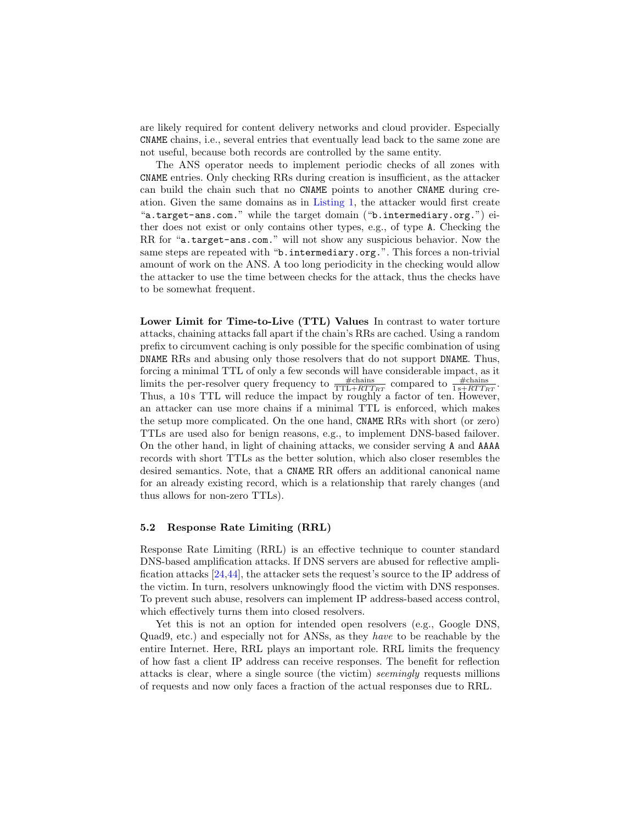are likely required for content delivery networks and cloud provider. Especially CNAME chains, i.e., several entries that eventually lead back to the same zone are not useful, because both records are controlled by the same entity.

The ANS operator needs to implement periodic checks of all zones with CNAME entries. Only checking RRs during creation is insufficient, as the attacker can build the chain such that no CNAME points to another CNAME during creation. Given the same domains as in [Listing 1,](#page-5-0) the attacker would first create "a.target-ans.com." while the target domain ("b.intermediary.org.") either does not exist or only contains other types, e.g., of type A. Checking the RR for "a.target-ans.com." will not show any suspicious behavior. Now the same steps are repeated with "b.intermediary.org.". This forces a non-trivial amount of work on the ANS. A too long periodicity in the checking would allow the attacker to use the time between checks for the attack, thus the checks have to be somewhat frequent.

Lower Limit for Time-to-Live (TTL) Values In contrast to water torture attacks, chaining attacks fall apart if the chain's RRs are cached. Using a random prefix to circumvent caching is only possible for the specific combination of using DNAME RRs and abusing only those resolvers that do not support DNAME. Thus, forcing a minimal TTL of only a few seconds will have considerable impact, as it limits the per-resolver query frequency to  $\frac{\text{\#chains}}{\text{TTL} + RTT_{RT}}$  compared to  $\frac{\text{\#chains}}{1 \text{s} + RTT_{RT}}$ . Thus, a 10 s TTL will reduce the impact by roughly a factor of ten. However, an attacker can use more chains if a minimal TTL is enforced, which makes the setup more complicated. On the one hand, CNAME RRs with short (or zero) TTLs are used also for benign reasons, e.g., to implement DNS-based failover. On the other hand, in light of chaining attacks, we consider serving A and AAAA records with short TTLs as the better solution, which also closer resembles the desired semantics. Note, that a CNAME RR offers an additional canonical name for an already existing record, which is a relationship that rarely changes (and thus allows for non-zero TTLs).

#### 5.2 Response Rate Limiting (RRL)

Response Rate Limiting (RRL) is an effective technique to counter standard DNS-based amplification attacks. If DNS servers are abused for reflective amplification attacks [\[24,](#page-19-8)[44\]](#page-20-0), the attacker sets the request's source to the IP address of the victim. In turn, resolvers unknowingly flood the victim with DNS responses. To prevent such abuse, resolvers can implement IP address-based access control, which effectively turns them into closed resolvers.

Yet this is not an option for intended open resolvers (e.g., Google DNS, Quad9, etc.) and especially not for ANSs, as they have to be reachable by the entire Internet. Here, RRL plays an important role. RRL limits the frequency of how fast a client IP address can receive responses. The benefit for reflection attacks is clear, where a single source (the victim) seemingly requests millions of requests and now only faces a fraction of the actual responses due to RRL.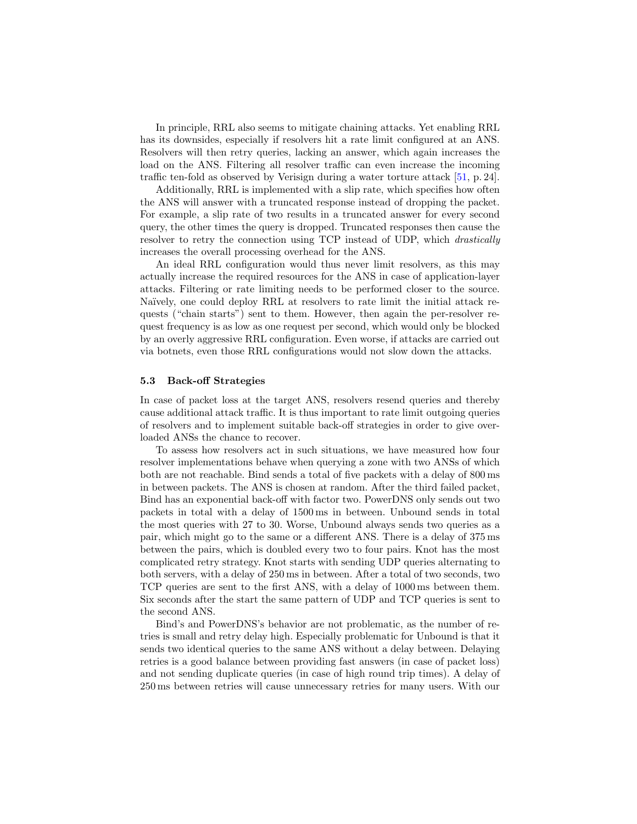In principle, RRL also seems to mitigate chaining attacks. Yet enabling RRL has its downsides, especially if resolvers hit a rate limit configured at an ANS. Resolvers will then retry queries, lacking an answer, which again increases the load on the ANS. Filtering all resolver traffic can even increase the incoming traffic ten-fold as observed by Verisign during a water torture attack [\[51,](#page-20-6) p. 24].

Additionally, RRL is implemented with a slip rate, which specifies how often the ANS will answer with a truncated response instead of dropping the packet. For example, a slip rate of two results in a truncated answer for every second query, the other times the query is dropped. Truncated responses then cause the resolver to retry the connection using TCP instead of UDP, which drastically increases the overall processing overhead for the ANS.

An ideal RRL configuration would thus never limit resolvers, as this may actually increase the required resources for the ANS in case of application-layer attacks. Filtering or rate limiting needs to be performed closer to the source. Naïvely, one could deploy RRL at resolvers to rate limit the initial attack requests ("chain starts") sent to them. However, then again the per-resolver request frequency is as low as one request per second, which would only be blocked by an overly aggressive RRL configuration. Even worse, if attacks are carried out via botnets, even those RRL configurations would not slow down the attacks.

#### 5.3 Back-off Strategies

In case of packet loss at the target ANS, resolvers resend queries and thereby cause additional attack traffic. It is thus important to rate limit outgoing queries of resolvers and to implement suitable back-off strategies in order to give overloaded ANSs the chance to recover.

To assess how resolvers act in such situations, we have measured how four resolver implementations behave when querying a zone with two ANSs of which both are not reachable. Bind sends a total of five packets with a delay of 800 ms in between packets. The ANS is chosen at random. After the third failed packet, Bind has an exponential back-off with factor two. PowerDNS only sends out two packets in total with a delay of 1500 ms in between. Unbound sends in total the most queries with 27 to 30. Worse, Unbound always sends two queries as a pair, which might go to the same or a different ANS. There is a delay of 375 ms between the pairs, which is doubled every two to four pairs. Knot has the most complicated retry strategy. Knot starts with sending UDP queries alternating to both servers, with a delay of 250 ms in between. After a total of two seconds, two TCP queries are sent to the first ANS, with a delay of 1000 ms between them. Six seconds after the start the same pattern of UDP and TCP queries is sent to the second ANS.

Bind's and PowerDNS's behavior are not problematic, as the number of retries is small and retry delay high. Especially problematic for Unbound is that it sends two identical queries to the same ANS without a delay between. Delaying retries is a good balance between providing fast answers (in case of packet loss) and not sending duplicate queries (in case of high round trip times). A delay of 250 ms between retries will cause unnecessary retries for many users. With our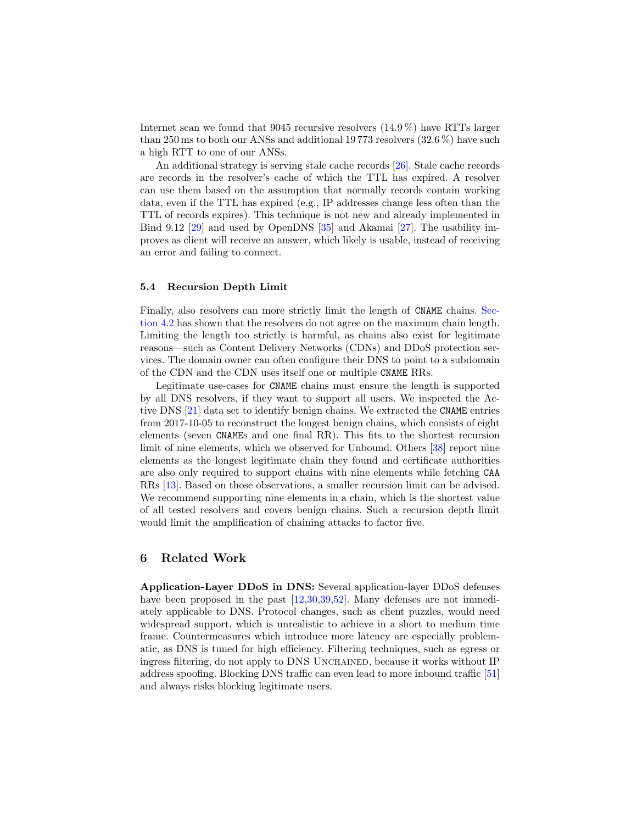Internet scan we found that 9045 recursive resolvers (14.9 %) have RTTs larger than 250 ms to both our ANSs and additional 19 773 resolvers (32.6 %) have such a high RTT to one of our ANSs.

An additional strategy is serving stale cache records [\[26\]](#page-19-10). Stale cache records are records in the resolver's cache of which the TTL has expired. A resolver can use them based on the assumption that normally records contain working data, even if the TTL has expired (e.g., IP addresses change less often than the TTL of records expires). This technique is not new and already implemented in Bind 9.12 [\[29\]](#page-19-11) and used by OpenDNS [\[35\]](#page-20-12) and Akamai [\[27\]](#page-19-12). The usability improves as client will receive an answer, which likely is usable, instead of receiving an error and failing to connect.

#### 5.4 Recursion Depth Limit

Finally, also resolvers can more strictly limit the length of CNAME chains. [Sec](#page-11-0)[tion 4.2](#page-11-0) has shown that the resolvers do not agree on the maximum chain length. Limiting the length too strictly is harmful, as chains also exist for legitimate reasons—such as Content Delivery Networks (CDNs) and DDoS protection services. The domain owner can often configure their DNS to point to a subdomain of the CDN and the CDN uses itself one or multiple CNAME RRs.

Legitimate use-cases for CNAME chains must ensure the length is supported by all DNS resolvers, if they want to support all users. We inspected the Active DNS [\[21\]](#page-19-13) data set to identify benign chains. We extracted the CNAME entries from 2017-10-05 to reconstruct the longest benign chains, which consists of eight elements (seven CNAMEs and one final RR). This fits to the shortest recursion limit of nine elements, which we observed for Unbound. Others [\[38\]](#page-20-13) report nine elements as the longest legitimate chain they found and certificate authorities are also only required to support chains with nine elements while fetching CAA RRs [\[13\]](#page-19-14). Based on those observations, a smaller recursion limit can be advised. We recommend supporting nine elements in a chain, which is the shortest value of all tested resolvers and covers benign chains. Such a recursion depth limit would limit the amplification of chaining attacks to factor five.

#### 6 Related Work

Application-Layer DDoS in DNS: Several application-layer DDoS defenses have been proposed in the past [\[12,](#page-18-10)[30,](#page-19-15)[39,](#page-20-14)[52\]](#page-20-15). Many defenses are not immediately applicable to DNS. Protocol changes, such as client puzzles, would need widespread support, which is unrealistic to achieve in a short to medium time frame. Countermeasures which introduce more latency are especially problematic, as DNS is tuned for high efficiency. Filtering techniques, such as egress or ingress filtering, do not apply to DNS UNCHAINED, because it works without IP address spoofing. Blocking DNS traffic can even lead to more inbound traffic [\[51\]](#page-20-6) and always risks blocking legitimate users.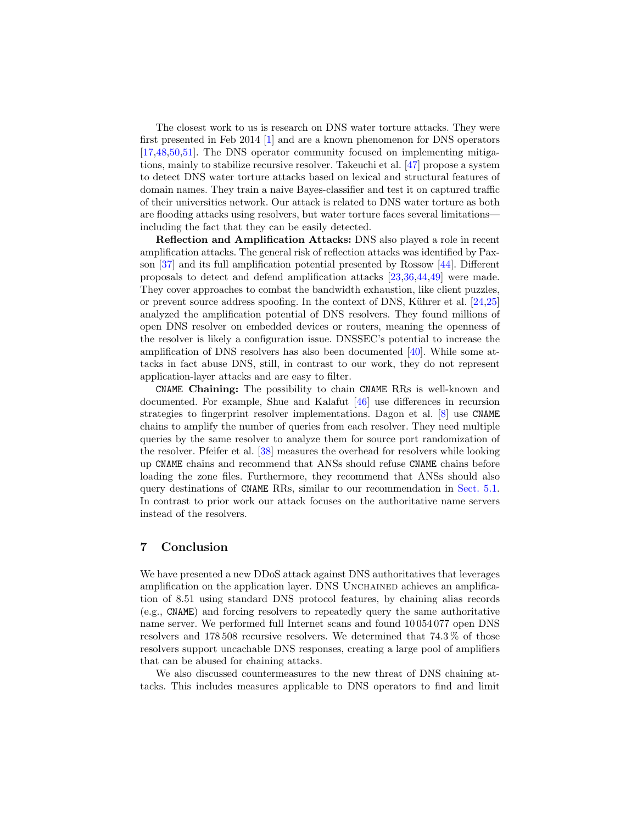The closest work to us is research on DNS water torture attacks. They were first presented in Feb 2014 [\[1\]](#page-18-3) and are a known phenomenon for DNS operators [\[17](#page-19-16)[,48](#page-20-16)[,50,](#page-20-17)[51\]](#page-20-6). The DNS operator community focused on implementing mitigations, mainly to stabilize recursive resolver. Takeuchi et al. [\[47\]](#page-20-2) propose a system to detect DNS water torture attacks based on lexical and structural features of domain names. They train a naive Bayes-classifier and test it on captured traffic of their universities network. Our attack is related to DNS water torture as both are flooding attacks using resolvers, but water torture faces several limitations including the fact that they can be easily detected.

Reflection and Amplification Attacks: DNS also played a role in recent amplification attacks. The general risk of reflection attacks was identified by Paxson [\[37\]](#page-20-18) and its full amplification potential presented by Rossow [\[44\]](#page-20-0). Different proposals to detect and defend amplification attacks [\[23](#page-19-17)[,36,](#page-20-1)[44,](#page-20-0)[49\]](#page-20-19) were made. They cover approaches to combat the bandwidth exhaustion, like client puzzles, or prevent source address spoofing. In the context of DNS, Kührer et al.  $[24,25]$  $[24,25]$ analyzed the amplification potential of DNS resolvers. They found millions of open DNS resolver on embedded devices or routers, meaning the openness of the resolver is likely a configuration issue. DNSSEC's potential to increase the amplification of DNS resolvers has also been documented [\[40\]](#page-20-20). While some attacks in fact abuse DNS, still, in contrast to our work, they do not represent application-layer attacks and are easy to filter.

CNAME Chaining: The possibility to chain CNAME RRs is well-known and documented. For example, Shue and Kalafut [\[46\]](#page-20-21) use differences in recursion strategies to fingerprint resolver implementations. Dagon et al. [\[8\]](#page-18-11) use CNAME chains to amplify the number of queries from each resolver. They need multiple queries by the same resolver to analyze them for source port randomization of the resolver. Pfeifer et al. [\[38\]](#page-20-13) measures the overhead for resolvers while looking up CNAME chains and recommend that ANSs should refuse CNAME chains before loading the zone files. Furthermore, they recommend that ANSs should also query destinations of CNAME RRs, similar to our recommendation in [Sect. 5.1.](#page-13-0) In contrast to prior work our attack focuses on the authoritative name servers instead of the resolvers.

# 7 Conclusion

We have presented a new DDoS attack against DNS authoritatives that leverages amplification on the application layer. DNS UNCHAINED achieves an amplification of 8.51 using standard DNS protocol features, by chaining alias records (e.g., CNAME) and forcing resolvers to repeatedly query the same authoritative name server. We performed full Internet scans and found 10 054 077 open DNS resolvers and 178 508 recursive resolvers. We determined that 74.3 % of those resolvers support uncachable DNS responses, creating a large pool of amplifiers that can be abused for chaining attacks.

We also discussed countermeasures to the new threat of DNS chaining attacks. This includes measures applicable to DNS operators to find and limit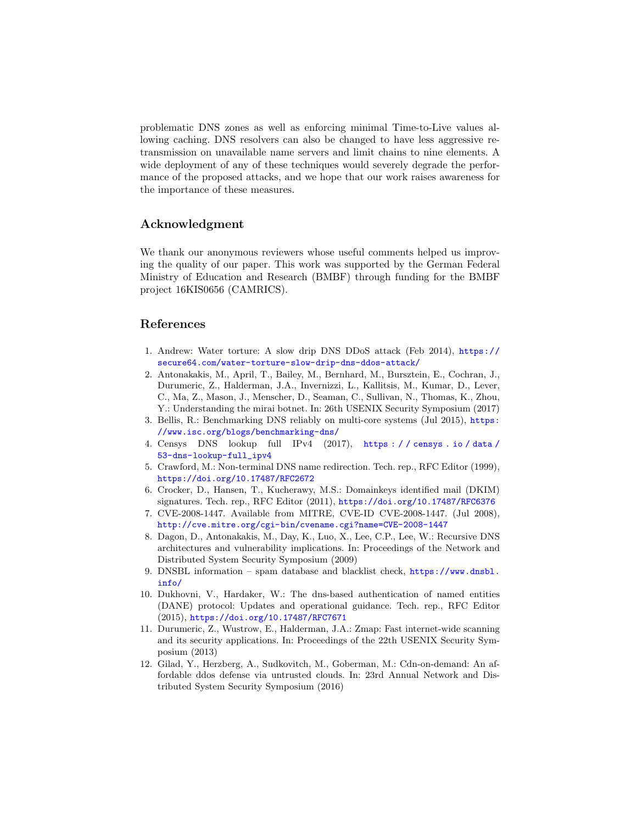problematic DNS zones as well as enforcing minimal Time-to-Live values allowing caching. DNS resolvers can also be changed to have less aggressive retransmission on unavailable name servers and limit chains to nine elements. A wide deployment of any of these techniques would severely degrade the performance of the proposed attacks, and we hope that our work raises awareness for the importance of these measures.

# Acknowledgment

We thank our anonymous reviewers whose useful comments helped us improving the quality of our paper. This work was supported by the German Federal Ministry of Education and Research (BMBF) through funding for the BMBF project 16KIS0656 (CAMRICS).

# References

- <span id="page-18-3"></span>1. Andrew: Water torture: A slow drip DNS DDoS attack (Feb 2014), [https://](https://secure64.com/water-torture-slow-drip-dns-ddos-attack/) [secure64.com/water-torture-slow-drip-dns-ddos-attack/](https://secure64.com/water-torture-slow-drip-dns-ddos-attack/)
- <span id="page-18-4"></span>2. Antonakakis, M., April, T., Bailey, M., Bernhard, M., Bursztein, E., Cochran, J., Durumeric, Z., Halderman, J.A., Invernizzi, L., Kallitsis, M., Kumar, D., Lever, C., Ma, Z., Mason, J., Menscher, D., Seaman, C., Sullivan, N., Thomas, K., Zhou, Y.: Understanding the mirai botnet. In: 26th USENIX Security Symposium (2017)
- <span id="page-18-9"></span>3. Bellis, R.: Benchmarking DNS reliably on multi-core systems (Jul 2015), [https:](https://www.isc.org/blogs/benchmarking-dns/) [//www.isc.org/blogs/benchmarking-dns/](https://www.isc.org/blogs/benchmarking-dns/)
- <span id="page-18-6"></span>4. Censys DNS lookup full IPv4 (2017), [https : / / censys . io / data /](https://censys.io/data/53-dns-lookup-full_ipv4) [53-dns-lookup-full\\_ipv4](https://censys.io/data/53-dns-lookup-full_ipv4)
- <span id="page-18-8"></span>5. Crawford, M.: Non-terminal DNS name redirection. Tech. rep., RFC Editor (1999), <https://doi.org/10.17487/RFC2672>
- <span id="page-18-0"></span>6. Crocker, D., Hansen, T., Kucherawy, M.S.: Domainkeys identified mail (DKIM) signatures. Tech. rep., RFC Editor (2011), <https://doi.org/10.17487/RFC6376>
- <span id="page-18-7"></span>7. CVE-2008-1447. Available from MITRE, CVE-ID CVE-2008-1447. (Jul 2008), <http://cve.mitre.org/cgi-bin/cvename.cgi?name=CVE-2008-1447>
- <span id="page-18-11"></span>8. Dagon, D., Antonakakis, M., Day, K., Luo, X., Lee, C.P., Lee, W.: Recursive DNS architectures and vulnerability implications. In: Proceedings of the Network and Distributed System Security Symposium (2009)
- <span id="page-18-1"></span>9. DNSBL information – spam database and blacklist check, [https://www.dnsbl.](https://www.dnsbl.info/) [info/](https://www.dnsbl.info/)
- <span id="page-18-2"></span>10. Dukhovni, V., Hardaker, W.: The dns-based authentication of named entities (DANE) protocol: Updates and operational guidance. Tech. rep., RFC Editor (2015), <https://doi.org/10.17487/RFC7671>
- <span id="page-18-5"></span>11. Durumeric, Z., Wustrow, E., Halderman, J.A.: Zmap: Fast internet-wide scanning and its security applications. In: Proceedings of the 22th USENIX Security Symposium (2013)
- <span id="page-18-10"></span>12. Gilad, Y., Herzberg, A., Sudkovitch, M., Goberman, M.: Cdn-on-demand: An affordable ddos defense via untrusted clouds. In: 23rd Annual Network and Distributed System Security Symposium (2016)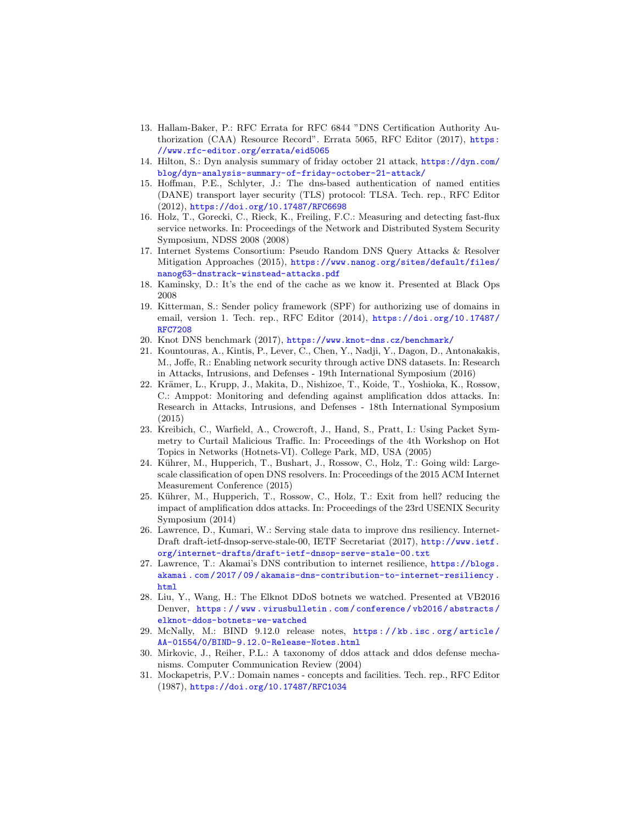- <span id="page-19-14"></span>13. Hallam-Baker, P.: RFC Errata for RFC 6844 "DNS Certification Authority Authorization (CAA) Resource Record". Errata 5065, RFC Editor (2017), [https:](https://www.rfc-editor.org/errata/eid5065) [//www.rfc-editor.org/errata/eid5065](https://www.rfc-editor.org/errata/eid5065)
- <span id="page-19-2"></span>14. Hilton, S.: Dyn analysis summary of friday october 21 attack, [https://dyn.com/](https://dyn.com/blog/dyn-analysis-summary-of-friday-october-21-attack/) [blog/dyn-analysis-summary-of-friday-october-21-attack/](https://dyn.com/blog/dyn-analysis-summary-of-friday-october-21-attack/)
- <span id="page-19-1"></span>15. Hoffman, P.E., Schlyter, J.: The dns-based authentication of named entities (DANE) transport layer security (TLS) protocol: TLSA. Tech. rep., RFC Editor (2012), <https://doi.org/10.17487/RFC6698>
- <span id="page-19-6"></span>16. Holz, T., Gorecki, C., Rieck, K., Freiling, F.C.: Measuring and detecting fast-flux service networks. In: Proceedings of the Network and Distributed System Security Symposium, NDSS 2008 (2008)
- <span id="page-19-16"></span>17. Internet Systems Consortium: Pseudo Random DNS Query Attacks & Resolver Mitigation Approaches (2015), [https://www.nanog.org/sites/default/files/](https://www.nanog.org/sites/default/files/nanog63-dnstrack-winstead-attacks.pdf) [nanog63-dnstrack-winstead-attacks.pdf](https://www.nanog.org/sites/default/files/nanog63-dnstrack-winstead-attacks.pdf)
- <span id="page-19-7"></span>18. Kaminsky, D.: It's the end of the cache as we know it. Presented at Black Ops 2008
- <span id="page-19-0"></span>19. Kitterman, S.: Sender policy framework (SPF) for authorizing use of domains in email, version 1. Tech. rep., RFC Editor (2014), [https://doi.org/10.17487/](https://doi.org/10.17487/RFC7208) [RFC7208](https://doi.org/10.17487/RFC7208)
- <span id="page-19-9"></span>20. Knot DNS benchmark (2017), <https://www.knot-dns.cz/benchmark/>
- <span id="page-19-13"></span>21. Kountouras, A., Kintis, P., Lever, C., Chen, Y., Nadji, Y., Dagon, D., Antonakakis, M., Joffe, R.: Enabling network security through active DNS datasets. In: Research in Attacks, Intrusions, and Defenses - 19th International Symposium (2016)
- <span id="page-19-3"></span>22. Krämer, L., Krupp, J., Makita, D., Nishizoe, T., Koide, T., Yoshioka, K., Rossow, C.: Amppot: Monitoring and defending against amplification ddos attacks. In: Research in Attacks, Intrusions, and Defenses - 18th International Symposium (2015)
- <span id="page-19-17"></span>23. Kreibich, C., Warfield, A., Crowcroft, J., Hand, S., Pratt, I.: Using Packet Symmetry to Curtail Malicious Traffic. In: Proceedings of the 4th Workshop on Hot Topics in Networks (Hotnets-VI). College Park, MD, USA (2005)
- <span id="page-19-8"></span>24. Kührer, M., Hupperich, T., Bushart, J., Rossow, C., Holz, T.: Going wild: Largescale classification of open DNS resolvers. In: Proceedings of the 2015 ACM Internet Measurement Conference (2015)
- <span id="page-19-18"></span>25. K¨uhrer, M., Hupperich, T., Rossow, C., Holz, T.: Exit from hell? reducing the impact of amplification ddos attacks. In: Proceedings of the 23rd USENIX Security Symposium (2014)
- <span id="page-19-10"></span>26. Lawrence, D., Kumari, W.: Serving stale data to improve dns resiliency. Internet-Draft draft-ietf-dnsop-serve-stale-00, IETF Secretariat (2017), [http://www.ietf.](http://www.ietf.org/internet-drafts/draft-ietf-dnsop-serve-stale-00.txt) [org/internet-drafts/draft-ietf-dnsop-serve-stale-00.txt](http://www.ietf.org/internet-drafts/draft-ietf-dnsop-serve-stale-00.txt)
- <span id="page-19-12"></span>27. Lawrence, T.: Akamai's DNS contribution to internet resilience, [https://blogs.](https://blogs.akamai.com/2017/09/akamais-dns-contribution-to-internet-resiliency.html) [akamai . com / 2017 / 09 / akamais-dns-contribution-to-internet-resiliency .](https://blogs.akamai.com/2017/09/akamais-dns-contribution-to-internet-resiliency.html) [html](https://blogs.akamai.com/2017/09/akamais-dns-contribution-to-internet-resiliency.html)
- <span id="page-19-4"></span>28. Liu, Y., Wang, H.: The Elknot DDoS botnets we watched. Presented at VB2016 Denver, [https : / / www . virusbulletin . com / conference / vb2016 / abstracts /](https://www.virusbulletin.com/conference/vb2016/abstracts/elknot-ddos-botnets-we-watched) [elknot-ddos-botnets-we-watched](https://www.virusbulletin.com/conference/vb2016/abstracts/elknot-ddos-botnets-we-watched)
- <span id="page-19-11"></span>29. McNally, M.: BIND 9.12.0 release notes, [https : / / kb . isc . org / article /](https://kb.isc.org/article/AA-01554/0/BIND-9.12.0-Release-Notes.html) [AA-01554/0/BIND-9.12.0-Release-Notes.html](https://kb.isc.org/article/AA-01554/0/BIND-9.12.0-Release-Notes.html)
- <span id="page-19-15"></span>30. Mirkovic, J., Reiher, P.L.: A taxonomy of ddos attack and ddos defense mechanisms. Computer Communication Review (2004)
- <span id="page-19-5"></span>31. Mockapetris, P.V.: Domain names - concepts and facilities. Tech. rep., RFC Editor (1987), <https://doi.org/10.17487/RFC1034>